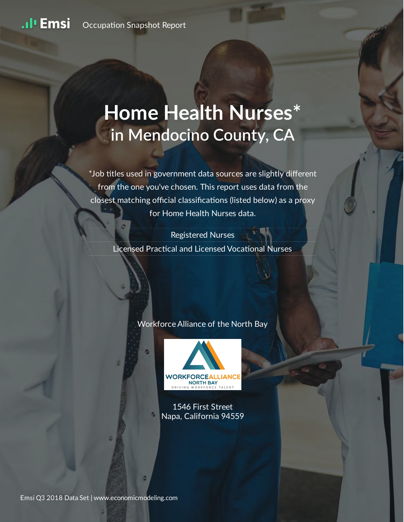# **Home Health Nurses\* in Mendocino County, CA**

\*Job titles used in government data sources are slightly different from the one you've chosen. This report uses data from the closest matching official classifications (listed below) as a proxy for Home Health Nurses data.

#### Registered Nurses

Licensed Practical and Licensed Vocational Nurses

#### Workforce Alliance of the North Bay



1546 First Street Napa, California 94559

Emsi Q3 2018 Data Set | www.economicmodeling.com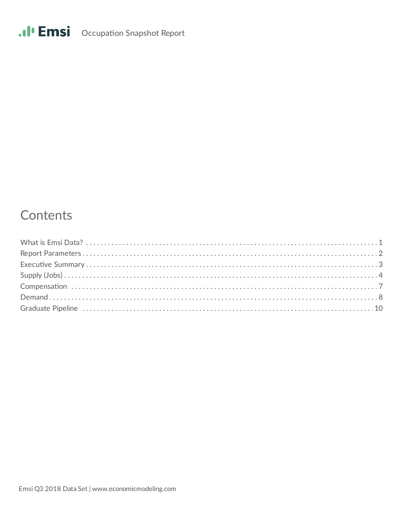# .II Emsi Occupation Snapshot Report

# Contents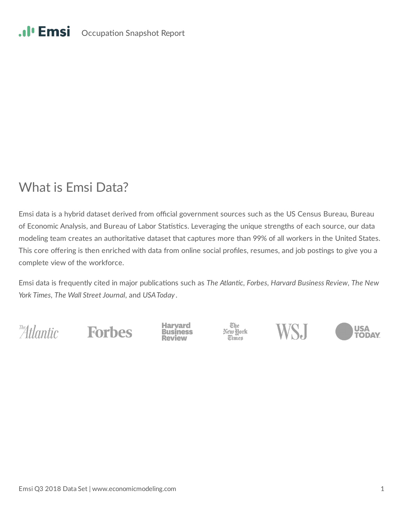#### .**.**. Emsi Occupation Snapshot Report

## What is Emsi Data?

Emsi data is a hybrid dataset derived from official government sources such as the US Census Bureau, Bureau of Economic Analysis, and Bureau of Labor Statistics. Leveraging the unique strengths of each source, our data modeling team creates an authoritative dataset that captures more than 99% of all workers in the United States. This core offering is then enriched with data from online social profiles, resumes, and job postings to give you a complete view of the workforce.

Emsi data is frequently cited in major publications such as The Atlantic, Forbes, Harvard Business Review, The New *York Times*, *The Wall Street Journal*, and *USA Today* .

The Hantic Forbes

**Haryard Business**  The<br>New York<br>Times



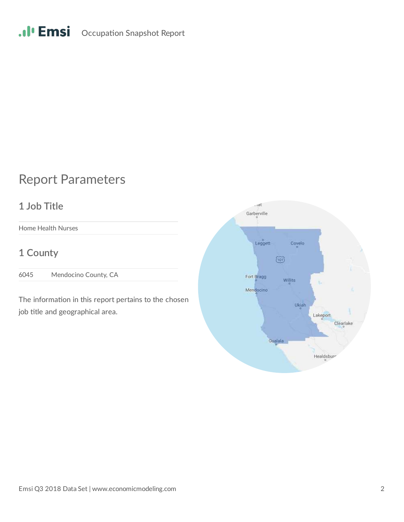# .II<sup>I</sup> Emsi Occupation Snapshot Report

# Report Parameters

## **1 Job Title**

Home Health Nurses

## **1 County**

6045 Mendocino County, CA

The information in this report pertains to the chosen job title and geographical area.

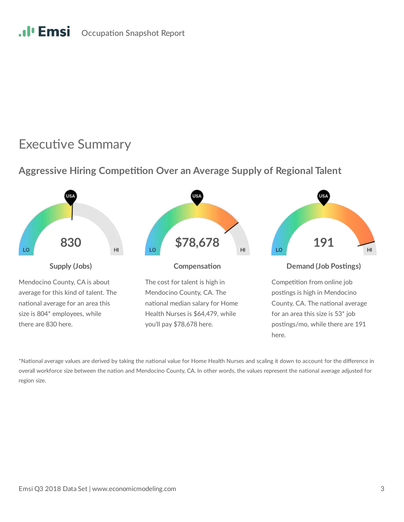#### .**.**. Emsi Occupation Snapshot Report

## **Executive Summary**

## **Aggressive Hiring Competition Over an Average Supply of Regional Talent**



\*National average values are derived by taking the national value for Home Health Nurses and scaling it down to account for the difference in overall workforce size between the nation and Mendocino County, CA. In other words, the values represent the national average adjusted for region size.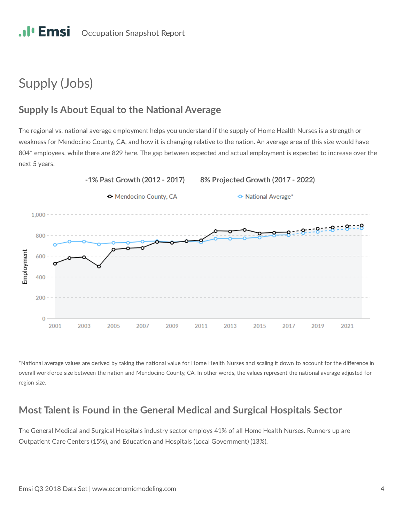# Supply (Jobs)

## **Supply Is About Equal to the National Average**

The regional vs. national average employment helps you understand if the supply of Home Health Nurses is a strength or weakness for Mendocino County, CA, and how it is changing relative to the nation. An average area of this size would have 804\* employees, while there are 829 here. The gap between expected and actual employment is expected to increase over the next 5 years.



\*National average values are derived by taking the national value for Home Health Nurses and scaling it down to account for the difference in overall workforce size between the nation and Mendocino County, CA. In other words, the values represent the national average adjusted for region size.

## **Most Talent is Found in the General Medical and Surgical Hospitals Sector**

The General Medical and Surgical Hospitals industry sector employs 41% of all Home Health Nurses. Runners up are Outpatient Care Centers (15%), and Education and Hospitals (Local Government) (13%).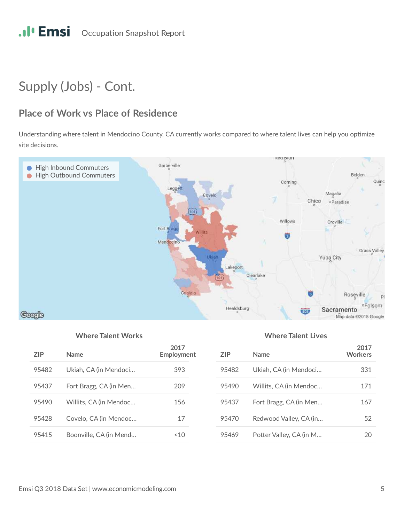# Supply (Jobs) - Cont.

## **Place of Work vs Place of Residence**

Understanding where talent in Mendocino County, CA currently works compared to where talent lives can help you optimize site decisions.



#### **Where Talent Works Where Talent Lives**

| 7IP   | Name                   | 2017<br>Employment |
|-------|------------------------|--------------------|
| 95482 | Ukiah, CA (in Mendoci  | 393                |
| 95437 | Fort Bragg, CA (in Men | 209                |
| 95490 | Willits, CA (in Mendoc | 156                |
| 95428 | Covelo, CA (in Mendoc  | 17                 |
| 95415 | Boonville, CA (in Mend | ~10                |

| 7IP   | <b>Name</b>             | 2017<br><b>Workers</b> |
|-------|-------------------------|------------------------|
| 95482 | Ukiah, CA (in Mendoci   | 331                    |
| 95490 | Willits, CA (in Mendoc  | 171                    |
| 95437 | Fort Bragg, CA (in Men  | 167                    |
| 95470 | Redwood Valley, CA (in  | 52                     |
| 95469 | Potter Valley, CA (in M |                        |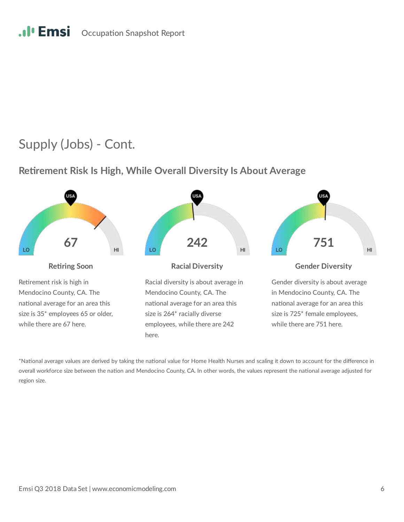#### .**.***I*<sup> $\cdot$ </sup> Emsi Occupation Snapshot Report

## Supply (Jobs) - Cont.

#### **Retirement Risk Is High, While Overall Diversity Is About Average**



\*National average values are derived by taking the national value for Home Health Nurses and scaling it down to account for the difference in overall workforce size between the nation and Mendocino County, CA. In other words, the values represent the national average adjusted for region size.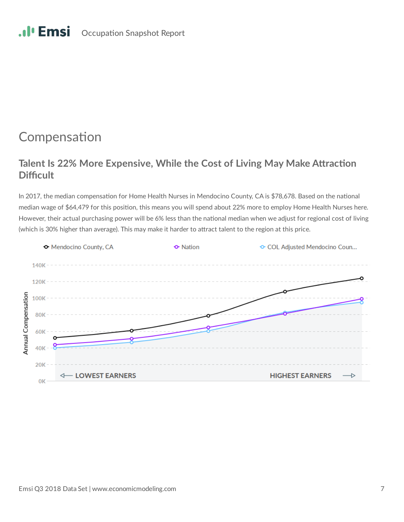#### .**.**I' Emsi Occupation Snapshot Report

## Compensation

## **Talent Is 22% More Expensive, While the Cost of Living May Make Attraction Difficult**

In 2017, the median compensation for Home Health Nurses in Mendocino County, CA is \$78,678. Based on the national median wage of \$64,479 for this position, this means you will spend about 22% more to employ Home Health Nurses here. However, their actual purchasing power will be 6% less than the national median when we adjust for regional cost of living (which is 30% higher than average). This may make it harder to attract talent to the region at this price.

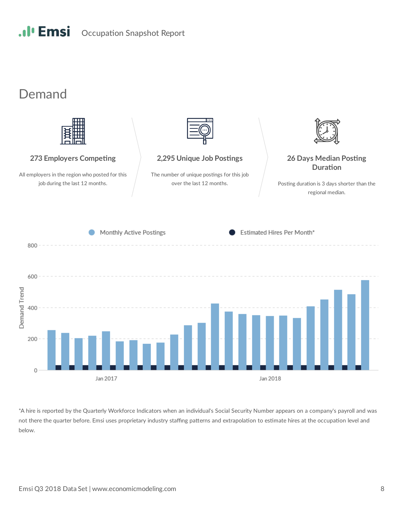

## Demand



\*A hire is reported by the Quarterly Workforce Indicators when an individual's Social Security Number appears on a company's payroll and was not there the quarter before. Emsi uses proprietary industry staffing patterns and extrapolation to estimate hires at the occupation level and below.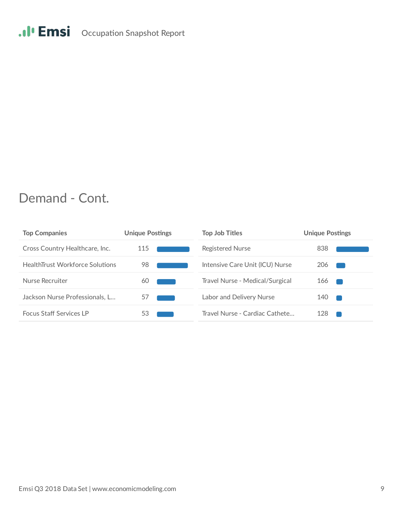# .II<sup>I</sup> Emsi Occupation Snapshot Report

## Demand - Cont.

| <b>Top Companies</b>                   | <b>Unique Postings</b> | <b>Top Job Titles</b>           | <b>Unique Postings</b> |
|----------------------------------------|------------------------|---------------------------------|------------------------|
| Cross Country Healthcare, Inc.         | 115                    | Registered Nurse                | 838                    |
| <b>HealthTrust Workforce Solutions</b> | 98                     | Intensive Care Unit (ICU) Nurse | 206                    |
| Nurse Recruiter                        | 60                     | Travel Nurse - Medical/Surgical | 166                    |
| Jackson Nurse Professionals, L         | 57                     | Labor and Delivery Nurse        | 140                    |
| <b>Focus Staff Services LP</b>         | 53                     | Travel Nurse - Cardiac Cathete  | 128                    |